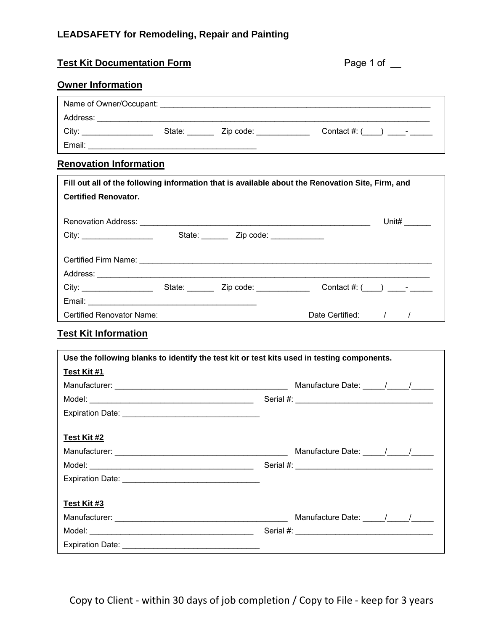#### **LEADSAFETY for Remodeling, Repair and Painting**

#### **Test Kit Documentation Form**

| Page 1 of |  |  |
|-----------|--|--|
|           |  |  |

#### **Owner Information**

|                   |        | Name of Owner/Occupant: Name of Solid Property of Solid Property of Solid Property of Solid Property of Solid Property of Solid Property of Solid Property of Solid Property of Solid Property of Solid Property of Solid Prop |                                                                                  |
|-------------------|--------|--------------------------------------------------------------------------------------------------------------------------------------------------------------------------------------------------------------------------------|----------------------------------------------------------------------------------|
| Address:          |        |                                                                                                                                                                                                                                |                                                                                  |
| City <sup>-</sup> | State: | Zip code:                                                                                                                                                                                                                      | Contact #: (<br>$\mathbf{1}$ $\mathbf{1}$ $\mathbf{2}$ $\mathbf{3}$ $\mathbf{4}$ |
| Email:            |        |                                                                                                                                                                                                                                |                                                                                  |

#### **Renovation Information**

| Fill out all of the following information that is available about the Renovation Site, Firm, and |  |                                        |                     |                    |  |
|--------------------------------------------------------------------------------------------------|--|----------------------------------------|---------------------|--------------------|--|
| <b>Certified Renovator.</b>                                                                      |  |                                        |                     |                    |  |
|                                                                                                  |  |                                        |                     | Unit#              |  |
| City:                                                                                            |  | State: <u>Zip code:</u>                |                     |                    |  |
|                                                                                                  |  |                                        |                     |                    |  |
|                                                                                                  |  | State: ________ Zip code: ____________ |                     | Contact #: $($ ) - |  |
| <b>Certified Renovator Name:</b>                                                                 |  |                                        | Date Certified: / / |                    |  |

#### **Test Kit Information**

| Use the following blanks to identify the test kit or test kits used in testing components. |           |  |  |  |  |  |
|--------------------------------------------------------------------------------------------|-----------|--|--|--|--|--|
| <u>Test Kit #1</u>                                                                         |           |  |  |  |  |  |
|                                                                                            |           |  |  |  |  |  |
|                                                                                            |           |  |  |  |  |  |
|                                                                                            |           |  |  |  |  |  |
|                                                                                            |           |  |  |  |  |  |
| Test Kit #2                                                                                |           |  |  |  |  |  |
|                                                                                            |           |  |  |  |  |  |
|                                                                                            |           |  |  |  |  |  |
|                                                                                            |           |  |  |  |  |  |
|                                                                                            |           |  |  |  |  |  |
| Test Kit #3                                                                                |           |  |  |  |  |  |
|                                                                                            |           |  |  |  |  |  |
|                                                                                            | Serial #: |  |  |  |  |  |
|                                                                                            |           |  |  |  |  |  |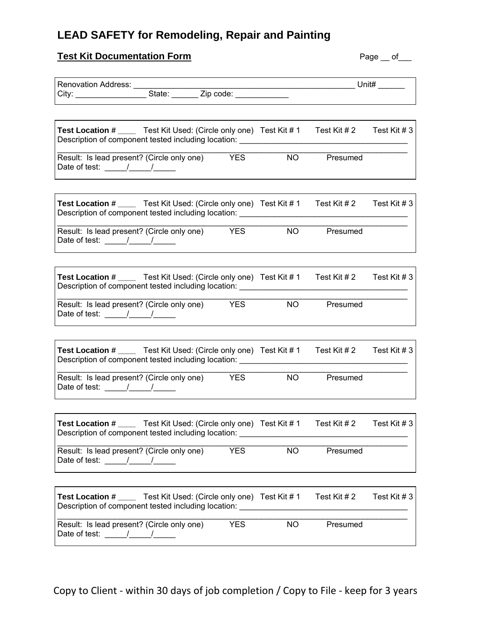#### **LEAD SAFETY for Remodeling, Repair and Painting**

#### **Test Kit Documentation Form Page \_\_ of\_\_\_**

|                                                                                                                                                                                                                                                                                                                                                                                                                                                                                                          |           |              | Unit#          |
|----------------------------------------------------------------------------------------------------------------------------------------------------------------------------------------------------------------------------------------------------------------------------------------------------------------------------------------------------------------------------------------------------------------------------------------------------------------------------------------------------------|-----------|--------------|----------------|
|                                                                                                                                                                                                                                                                                                                                                                                                                                                                                                          |           |              |                |
|                                                                                                                                                                                                                                                                                                                                                                                                                                                                                                          |           |              |                |
| <b>Test Location #</b> Test Kit Used: (Circle only one) Test Kit #1 Test Kit #2<br>Description of component tested including location: <b>Component Component</b>                                                                                                                                                                                                                                                                                                                                        |           |              | Test Kit # 3   |
| Result: Is lead present? (Circle only one)<br><b>YES</b>                                                                                                                                                                                                                                                                                                                                                                                                                                                 | <b>NO</b> | Presumed     |                |
| <b>Test Location #</b> _____ Test Kit Used: (Circle only one) Test Kit # 1 Test Kit # 2                                                                                                                                                                                                                                                                                                                                                                                                                  |           |              | Test Kit # 3   |
| Result: Is lead present? (Circle only one) YES<br>Date of test: $\frac{1}{\sqrt{1-\frac{1}{1-\cdots}}}}$                                                                                                                                                                                                                                                                                                                                                                                                 | NO.       | Presumed     |                |
| <b>Test Location #</b> _____ Test Kit Used: (Circle only one) Test Kit # 1<br>Description of component tested including location: ____________________________                                                                                                                                                                                                                                                                                                                                           |           | Test Kit # 2 | Test Kit # 3   |
| Result: Is lead present? (Circle only one)<br><b>YES</b><br>Date of test: $\frac{1}{\sqrt{1-\frac{1}{2}}}\frac{1}{\sqrt{1-\frac{1}{2}}}}$                                                                                                                                                                                                                                                                                                                                                                | NO L      | Presumed     |                |
| <b>Test Location #</b> _____ Test Kit Used: (Circle only one) Test Kit # 1 Test Kit # 2<br>Description of component tested including location: ________________                                                                                                                                                                                                                                                                                                                                          |           |              | Test Kit #3    |
| Result: Is lead present? (Circle only one)<br><b>YES</b><br>Date of test: $\frac{1}{\sqrt{1-\frac{1}{2}}}\frac{1}{\sqrt{1-\frac{1}{2}}}}$                                                                                                                                                                                                                                                                                                                                                                | NO.       | Presumed     |                |
| <b>Test Location #</b><br>Test Kit Used: (Circle only one) Test Kit #1<br>Description of component tested including location:                                                                                                                                                                                                                                                                                                                                                                            |           | Test Kit #2  | Test Kit # $3$ |
| Result: Is lead present? (Circle only one)<br><b>YES</b><br>Date of test: $\frac{1}{\sqrt{1-\frac{1}{2}}}\frac{1}{\sqrt{1-\frac{1}{2}}}}$                                                                                                                                                                                                                                                                                                                                                                | <b>NO</b> | Presumed     |                |
| <b>Test Location #</b> _____ Test Kit Used: (Circle only one) Test Kit # 1<br>Description of component tested including location: Description of component tested including location:                                                                                                                                                                                                                                                                                                                    |           | Test Kit # 2 | Test Kit #3    |
| Result: Is lead present? (Circle only one)<br><b>YES</b><br>Date of test: $\frac{\frac{1}{2} \cdot \frac{1}{2} \cdot \frac{1}{2} \cdot \frac{1}{2} \cdot \frac{1}{2} \cdot \frac{1}{2} \cdot \frac{1}{2} \cdot \frac{1}{2} \cdot \frac{1}{2} \cdot \frac{1}{2} \cdot \frac{1}{2} \cdot \frac{1}{2} \cdot \frac{1}{2} \cdot \frac{1}{2} \cdot \frac{1}{2} \cdot \frac{1}{2} \cdot \frac{1}{2} \cdot \frac{1}{2} \cdot \frac{1}{2} \cdot \frac{1}{2} \cdot \frac{1}{2} \cdot \frac{1}{2} \cdot \frac{1}{2$ | <b>NO</b> | Presumed     |                |

Copy to Client - within 30 days of job completion / Copy to File - keep for 3 years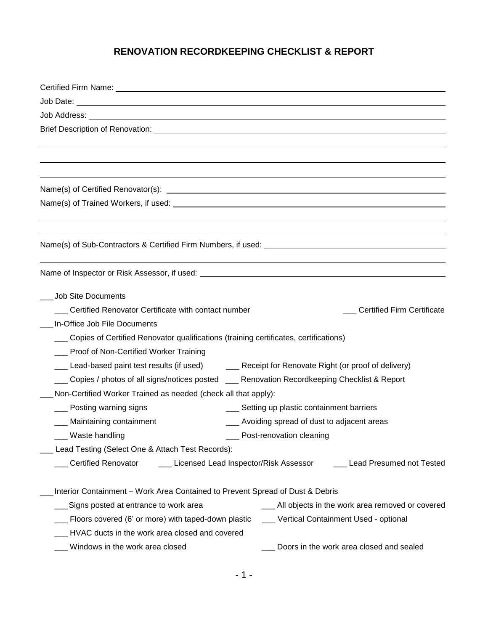#### **RENOVATION RECORDKEEPING CHECKLIST & REPORT**

| <b>Job Site Documents</b>                                                                        |  |
|--------------------------------------------------------------------------------------------------|--|
| Certified Renovator Certificate with contact number<br><b>Certified Firm Certificate</b>         |  |
| In-Office Job File Documents                                                                     |  |
| Copies of Certified Renovator qualifications (training certificates, certifications)             |  |
| __ Proof of Non-Certified Worker Training                                                        |  |
|                                                                                                  |  |
| Copies / photos of all signs/notices posted ___ Renovation Recordkeeping Checklist & Report      |  |
| Non-Certified Worker Trained as needed (check all that apply):                                   |  |
| ___ Posting warning signs<br>___ Setting up plastic containment barriers                         |  |
| __ Avoiding spread of dust to adjacent areas<br>Maintaining containment                          |  |
| Waste handling<br>Post-renovation cleaning                                                       |  |
| Lead Testing (Select One & Attach Test Records):                                                 |  |
| ___ Certified Renovator<br>Licensed Lead Inspector/Risk Assessor ______ Lead Presumed not Tested |  |
|                                                                                                  |  |
| Interior Containment - Work Area Contained to Prevent Spread of Dust & Debris                    |  |
| __ All objects in the work area removed or covered<br>Signs posted at entrance to work area      |  |
| Floors covered (6' or more) with taped-down plastic<br>___ Vertical Containment Used - optional  |  |
| HVAC ducts in the work area closed and covered                                                   |  |
| Windows in the work area closed<br>Doors in the work area closed and sealed                      |  |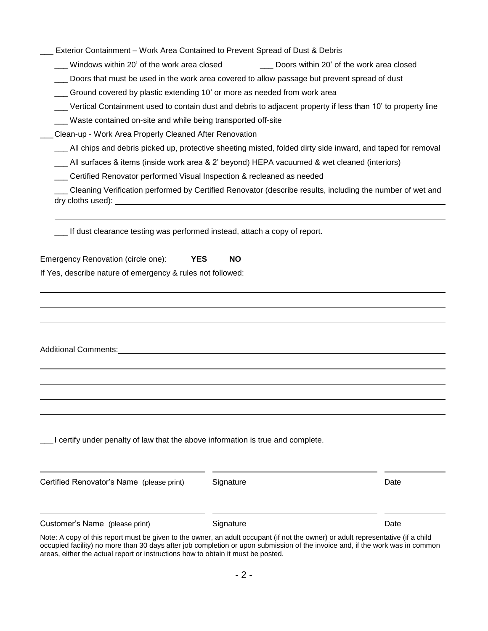| Exterior Containment - Work Area Contained to Prevent Spread of Dust & Debris                                                                                                                                                                                                                                                                         |                                                                                                             |      |  |  |  |  |  |
|-------------------------------------------------------------------------------------------------------------------------------------------------------------------------------------------------------------------------------------------------------------------------------------------------------------------------------------------------------|-------------------------------------------------------------------------------------------------------------|------|--|--|--|--|--|
| ___ Windows within 20' of the work area closed ____________ Doors within 20' of the work area closed                                                                                                                                                                                                                                                  |                                                                                                             |      |  |  |  |  |  |
| Doors that must be used in the work area covered to allow passage but prevent spread of dust                                                                                                                                                                                                                                                          |                                                                                                             |      |  |  |  |  |  |
| ___ Ground covered by plastic extending 10' or more as needed from work area                                                                                                                                                                                                                                                                          |                                                                                                             |      |  |  |  |  |  |
|                                                                                                                                                                                                                                                                                                                                                       | Vertical Containment used to contain dust and debris to adjacent property if less than 10' to property line |      |  |  |  |  |  |
| __ Waste contained on-site and while being transported off-site                                                                                                                                                                                                                                                                                       |                                                                                                             |      |  |  |  |  |  |
| Clean-up - Work Area Properly Cleaned After Renovation                                                                                                                                                                                                                                                                                                |                                                                                                             |      |  |  |  |  |  |
| All chips and debris picked up, protective sheeting misted, folded dirty side inward, and taped for removal                                                                                                                                                                                                                                           |                                                                                                             |      |  |  |  |  |  |
| All surfaces & items (inside work area & 2' beyond) HEPA vacuumed & wet cleaned (interiors)                                                                                                                                                                                                                                                           |                                                                                                             |      |  |  |  |  |  |
| __ Certified Renovator performed Visual Inspection & recleaned as needed                                                                                                                                                                                                                                                                              |                                                                                                             |      |  |  |  |  |  |
| Cleaning Verification performed by Certified Renovator (describe results, including the number of wet and                                                                                                                                                                                                                                             |                                                                                                             |      |  |  |  |  |  |
| If dust clearance testing was performed instead, attach a copy of report.                                                                                                                                                                                                                                                                             |                                                                                                             |      |  |  |  |  |  |
| Emergency Renovation (circle one):<br><b>YES</b><br>If Yes, describe nature of emergency & rules not followed: example and the state of the state of the state of                                                                                                                                                                                     | <b>NO</b>                                                                                                   |      |  |  |  |  |  |
|                                                                                                                                                                                                                                                                                                                                                       |                                                                                                             |      |  |  |  |  |  |
| I certify under penalty of law that the above information is true and complete.                                                                                                                                                                                                                                                                       |                                                                                                             |      |  |  |  |  |  |
| Certified Renovator's Name (please print)                                                                                                                                                                                                                                                                                                             | Signature                                                                                                   | Date |  |  |  |  |  |
| Customer's Name (please print)                                                                                                                                                                                                                                                                                                                        | Signature                                                                                                   | Date |  |  |  |  |  |
| Note: A copy of this report must be given to the owner, an adult occupant (if not the owner) or adult representative (if a child<br>occupied facility) no more than 30 days after job completion or upon submission of the invoice and, if the work was in common<br>areas, either the actual report or instructions how to obtain it must be posted. |                                                                                                             |      |  |  |  |  |  |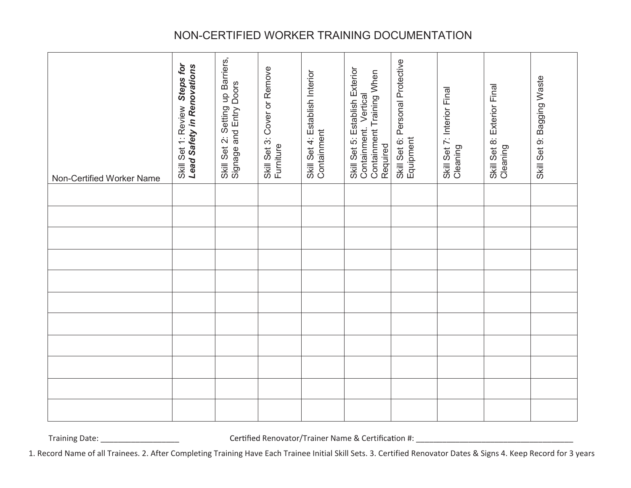#### NON-CERTIFIED WORKER TRAINING DOCUMENTATION

| Non-Certified Worker Name | Steps for<br>Lead Safety in Renovations<br>Skill Set 1: Review | Skill Set 2: Setting up Barriers,<br>Signage and Entry Doors | Skill Set 3: Cover or Remove<br>Furniture | Skill Set 4: Establish Interior<br>Containment | Skill Set 5: Establish Exterior<br>Containment Training When<br>Containment. Vertical<br>Required | Skill Set 6: Personal Protective<br>Equipment | Skill Set 7: Interior Final<br>Cleaning | Skill Set 8: Exterior Final<br>Cleaning | Skill Set 9: Bagging Waste |
|---------------------------|----------------------------------------------------------------|--------------------------------------------------------------|-------------------------------------------|------------------------------------------------|---------------------------------------------------------------------------------------------------|-----------------------------------------------|-----------------------------------------|-----------------------------------------|----------------------------|
|                           |                                                                |                                                              |                                           |                                                |                                                                                                   |                                               |                                         |                                         |                            |
|                           |                                                                |                                                              |                                           |                                                |                                                                                                   |                                               |                                         |                                         |                            |
|                           |                                                                |                                                              |                                           |                                                |                                                                                                   |                                               |                                         |                                         |                            |
|                           |                                                                |                                                              |                                           |                                                |                                                                                                   |                                               |                                         |                                         |                            |
|                           |                                                                |                                                              |                                           |                                                |                                                                                                   |                                               |                                         |                                         |                            |
|                           |                                                                |                                                              |                                           |                                                |                                                                                                   |                                               |                                         |                                         |                            |
|                           |                                                                |                                                              |                                           |                                                |                                                                                                   |                                               |                                         |                                         |                            |
|                           |                                                                |                                                              |                                           |                                                |                                                                                                   |                                               |                                         |                                         |                            |
|                           |                                                                |                                                              |                                           |                                                |                                                                                                   |                                               |                                         |                                         |                            |
|                           |                                                                |                                                              |                                           |                                                |                                                                                                   |                                               |                                         |                                         |                            |
|                           |                                                                |                                                              |                                           |                                                |                                                                                                   |                                               |                                         |                                         |                            |

Training Date: \_\_\_\_\_\_\_\_\_\_\_\_\_\_\_\_\_\_ Renovator/Trainer Name & Certific on #: \_\_\_\_\_\_\_\_\_\_\_\_\_\_\_\_\_\_\_\_\_\_\_\_\_\_\_\_\_\_\_\_\_\_\_\_

1. Record Name of all Trainees. 2. After Completing Training Have Each Trainee Initial Skill Sets. 3. Certified Renovator Dates & Signs 4. Keep Record for 3 years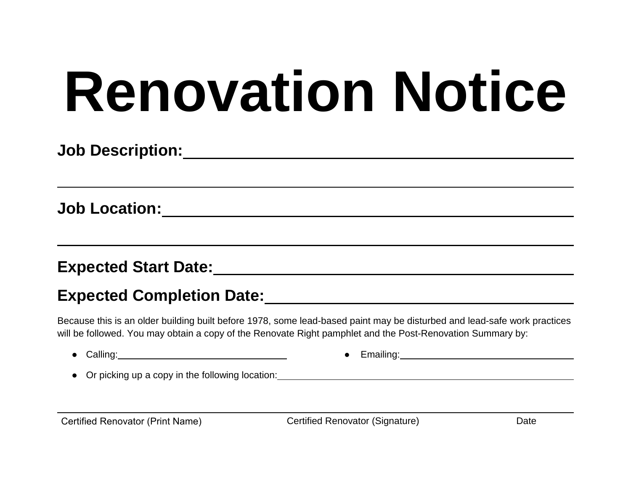# **Renovation Notice**

**Job Description:**

**Job Location:**

### **Expected Start Date:**

### **Expected Completion Date:**

Because this is an older building built before 1978, some lead-based paint may be disturbed and lead-safe work practices will be followed. You may obtain a copy of the Renovate Right pamphlet and the Post-Renovation Summary by:

- Calling: Emailing:
	-
- Or picking up a copy in the following location: